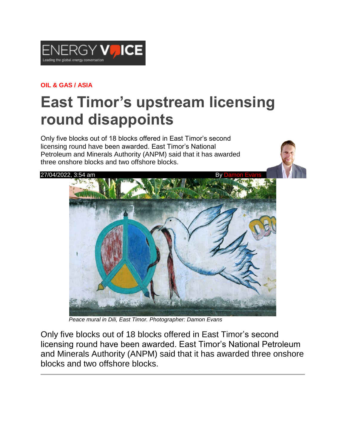

## **OIL & GAS / ASIA**

## **East Timor's upstream licensing round disappoints**

Only five blocks out of 18 blocks offered in East Timor's second licensing round have been awarded. East Timor's National Petroleum and Minerals Authority (ANPM) said that it has awarded three onshore blocks and two offshore blocks.

## 27/04/2022, 3:54 am



 *Peace mural in Dili, East Timor. Photographer: Damon Evans*

Only five blocks out of 18 blocks offered in East Timor's second licensing round have been awarded. East Timor's National Petroleum and Minerals Authority (ANPM) said that it has awarded three onshore blocks and two offshore blocks.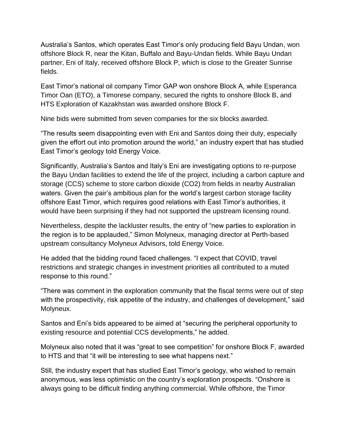Australia's Santos, which operates East Timor's only producing field Bayu Undan, won offshore Block R, near the Kitan, Buffalo and Bayu-Undan fields. While Bayu Undan partner, Eni of Italy, received offshore Block P, which is close to the Greater Sunrise fields.

East Timor's national oil company Timor GAP won onshore Block A, while Esperanca Timor Oan (ETO), a Timorese company, secured the rights to onshore Block B, and HTS Exploration of Kazakhstan was awarded onshore Block F.

Nine bids were submitted from seven companies for the six blocks awarded.

"The results seem disappointing even with Eni and Santos doing their duty, especially given the effort out into promotion around the world," an industry expert that has studied East Timor's geology told Energy Voice.

Significantly, Australia's Santos and Italy's Eni are investigating options to re-purpose the Bayu Undan facilities to extend the life of the project, including a carbon capture and storage (CCS) scheme to store carbon dioxide (CO2) from fields in nearby Australian waters. Given the pair's ambitious plan for the world's largest carbon storage facility offshore East Timor, which requires good relations with East Timor's authorities, it would have been surprising if they had not supported the upstream licensing round.

Nevertheless, despite the lackluster results, the entry of "new parties to exploration in the region is to be applauded," Simon Molyneux, managing director at Perth-based upstream consultancy Molyneux Advisors, told Energy Voice.

He added that the bidding round faced challenges. "I expect that COVID, travel restrictions and strategic changes in investment priorities all contributed to a muted response to this round."

"There was comment in the exploration community that the fiscal terms were out of step with the prospectivity, risk appetite of the industry, and challenges of development," said Molyneux.

Santos and Eni's bids appeared to be aimed at "securing the peripheral opportunity to existing resource and potential CCS developments," he added.

Molyneux also noted that it was "great to see competition" for onshore Block F, awarded to HTS and that "it will be interesting to see what happens next."

Still, the industry expert that has studied East Timor's geology, who wished to remain anonymous, was less optimistic on the country's exploration prospects. "Onshore is always going to be difficult finding anything commercial. While offshore, the Timor